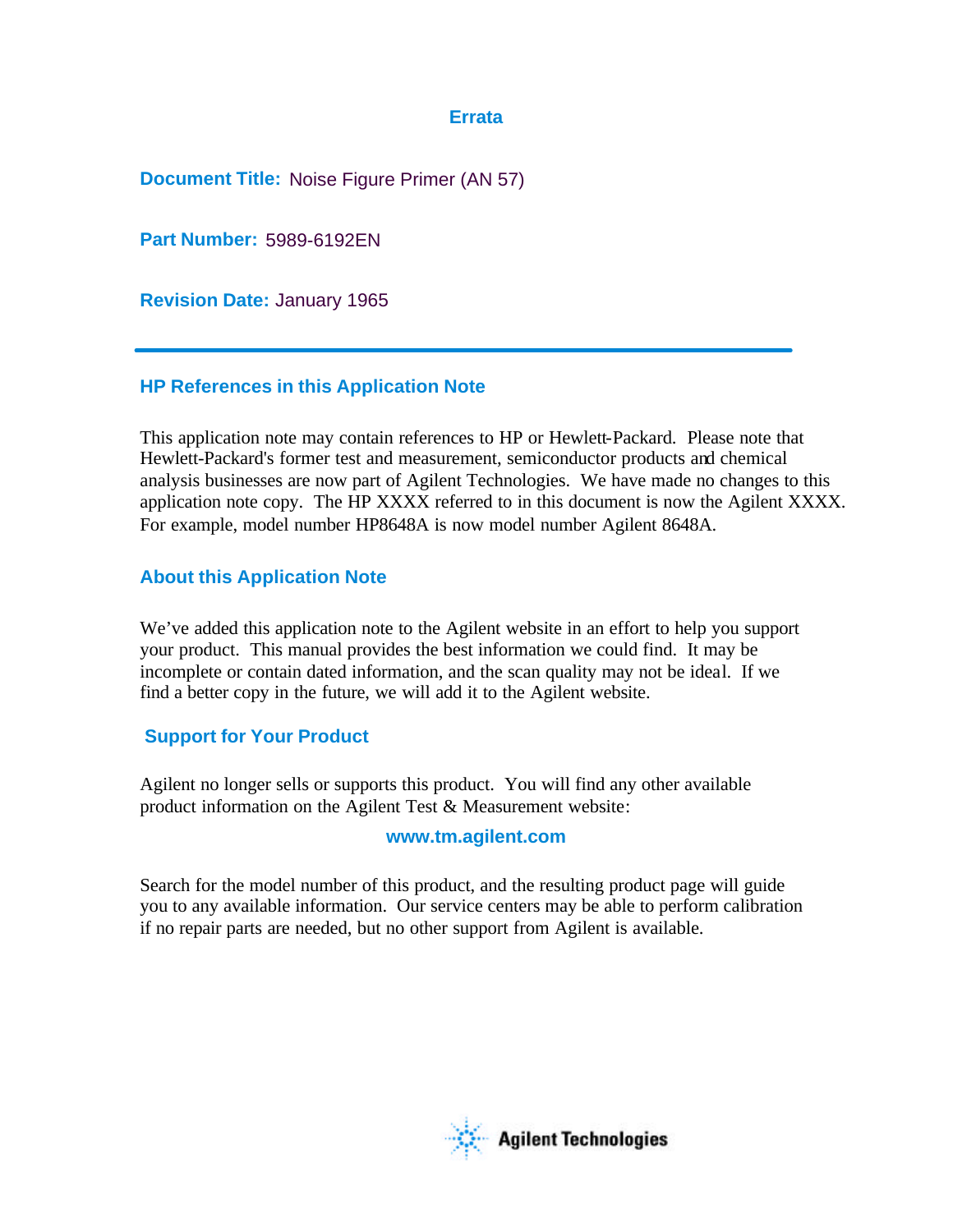## **Errata**

**Document Title:** Noise Figure Primer (AN 57)

**Part Number:** 5989-6192EN

**Revision Date:** January 1965

## **HP References in this Application Note**

This application note may contain references to HP or Hewlett-Packard. Please note that Hewlett-Packard's former test and measurement, semiconductor products and chemical analysis businesses are now part of Agilent Technologies. We have made no changes to this application note copy. The HP XXXX referred to in this document is now the Agilent XXXX. For example, model number HP8648A is now model number Agilent 8648A.

# **About this Application Note**

We've added this application note to the Agilent website in an effort to help you support your product. This manual provides the best information we could find. It may be incomplete or contain dated information, and the scan quality may not be ideal. If we find a better copy in the future, we will add it to the Agilent website.

# **Support for Your Product**

Agilent no longer sells or supports this product. You will find any other available product information on the Agilent Test & Measurement website:

## **www.tm.agilent.com**

Search for the model number of this product, and the resulting product page will guide you to any available information. Our service centers may be able to perform calibration if no repair parts are needed, but no other support from Agilent is available.

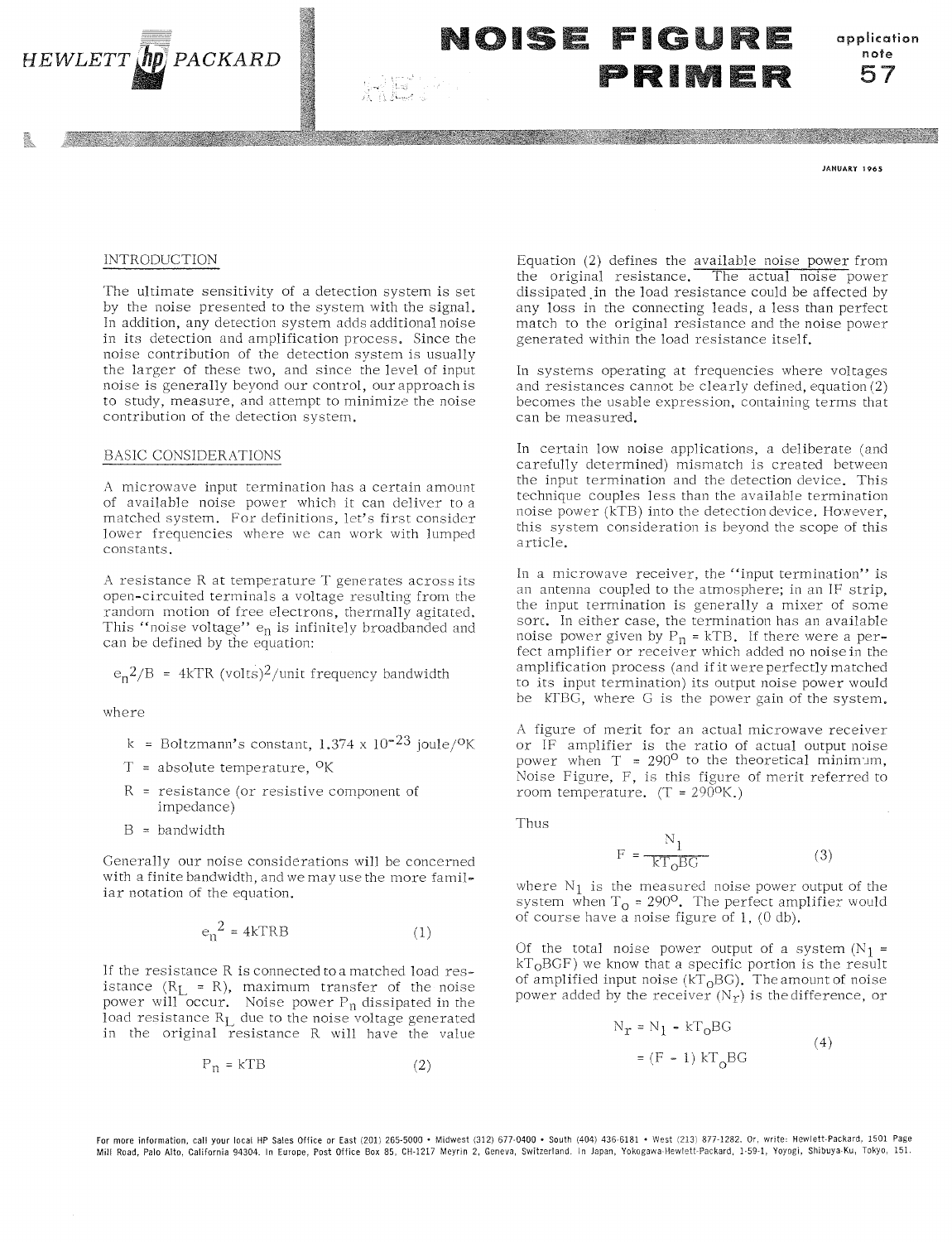

NOISE FIGURE PRIME

application note 57

**JANUARY 1965** 

### **INTRODUCTION**

The ultimate sensitivity of a detection system is set by the noise presented to the system with the signal. In addition, any detection system adds additional noise in its detection and amplification process. Since the noise contribution of the detection system is usually the larger of these two, and since the level of input noise is generally beyond our control, our approach is to study, measure, and attempt to minimize the noise contribution of the detection system.

#### **BASIC CONSIDERATIONS**

A microwave input termination has a certain amount of available noise power which it can deliver to a matched system. For definitions, let's first consider lower frequencies where we can work with lumped constants.

A resistance R at temperature T generates acrossits open-circuited terminals a voltage resulting from the random motion of free electrons, thermally agitated. This "noise voltage"  $e_n$  is infinitely broadbanded and<br>can be defined by the equation:

 $e_n^2/B = 4kTR$  (volts)<sup>2</sup>/unit frequency bandwidth

where

- k = Boltzmann's constant,  $1.374 \times 10^{-23}$  joule/<sup>O</sup>K
- $T =$  absolute temperature, <sup>O</sup>K
- $R$  = resistance (or resistive component of impedance)
- $B = bandwidth$

Generally our noise considerations will be concerned with a finite bandwidth, and we may use the more familiar notation of the equation.

$$
e_n^2 = 4kTRB \tag{1}
$$

If the resistance R is connected to a matched load resistance ( $R_L = R$ ), maximum transfer of the noise power will occur. Noise power  $P_n$  dissipated in the load resistance  $R_L$  due to the noise voltage generated in the original resistance R will have the value

$$
P_n = kTB \tag{2}
$$

Equation (2) defines the available noise power from the original resistance. The actual noise power dissipated in the load resistance could be affected by any loss in the connecting leads, a less than perfect match to the original resistance and the noise power generated within the load resistance itself.

In systems operating at frequencies where voltages and resistances cannot be clearly defined, equation  $(2)$ becomes the usable expression, containing terms that can be measured.

In certain low noise applications, a deliberate (and carefully determined) mismatch is created between the input termination and the detection device. This technique couples less than the available termination noise power (kTB) into the detection device. However, this system consideration is beyond the scope of this article.

In a microwave receiver, the "input termination" is an antenna coupled to the atmosphere; in an IF strip, the input termination is generally a mixer of some sort. In either case, the termination has an available noise power given by  $P_n = kTB$ . If there were a perfect amplifier or receiver which added no noise in the amplification process (and if it were perfectly matched to its input termination) its output noise power would be KTBG, where G is the power gain of the system.

A figure of merit for an actual microwave receiver or IF amplifier is the ratio of actual output noise power when  $T = 290^{\circ}$  to the theoretical minimum, Noise Figure, F, is this figure of merit referred to room temperature.  $(T = 2900K)$ 

Thus

$$
F = \frac{N_1}{kT_0BG}
$$
 (3)

where  $N_1$  is the measured noise power output of the system when  $T_0 = 290^\circ$ . The perfect amplifier would of course have a noise figure of  $1$ ,  $(0 \text{ db})$ .

Of the total noise power output of a system  $(N_1 =$  $kT<sub>0</sub>BGF$ ) we know that a specific portion is the result of amplified input noise ( $kT_0BG$ ). The amount of noise power added by the receiver  $(N_T)$  is the difference, or

$$
N_T = N_1 - kT_0BG
$$
  
= (F - 1)  $kT_0BG$  (4)

For more information, call your local HP Sales Office or East (201) 265-5000 · Midwest (312) 677-0400 · South (404) 436-6181 · West (213) 877-1282. Or, write: Hewlett-Packard, 1501 Page Mill Road, Palo Alto, California 94304. In Europe, Post Office Box 85, CH-1217 Meyrin 2, Geneva, Switzerland. In Japan, Yokogawa-Hewlett-Packard, 1-59-1, Yoyogi, Shibuya-Ku, Tokyo, 151.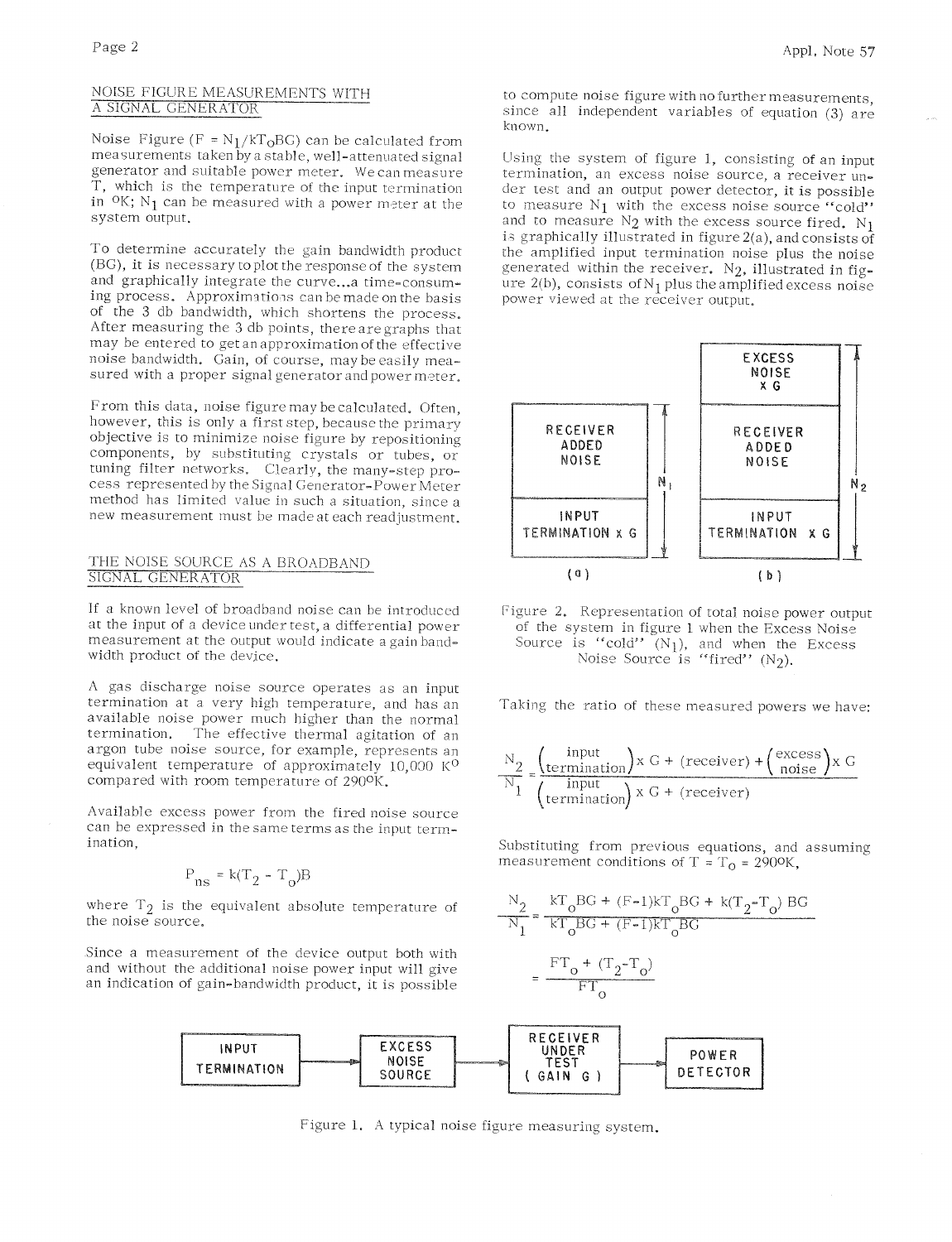## NOISE FIGURE MEASUREMENTS WITH A SIGNAL GENERATOR

Noise Figure ( $F = N_1/kT_0BG$ ) can be calculated from measurements taken by a stable, well-attenuated signal generator and suitable power meter. We can measure T, which is the temperature of the input termination in  $O$ K; N<sub>1</sub> can be measured with a power meter at the system output.

To determine accurately the gain bandwidth product (BG), it is necessary to plot the response of the system and graphically integrate the curve...a time-consuming process. Approximations can be made on the basis of the 3 db bandwidth, which shortens the process. After measuring the 3 db points, there are graphs that may be entered to get an approximation of the effective noise bandwidth. Gain, of course, may be easily measured with a proper signal generator and power meter.

From this data, noise figure may be calculated. Often, however, this is only a first step, because the primary objective is to minimize noise figure by repositioning components, by substituting crystals or tubes, or tuning filter networks. Clearly, the many-step process represented by the Signal Generator-Power Meter method has limited value in such a situation, since a new measurement must be made at each readjustment.

## THE NOISE SOURCE AS A BROADBAND SIGNAL GENERATOR

If a known level of broadband noise can be introduced at the input of a device under test, a differential power measurement at the output would indicate a gain bandwidth product of the device.

A gas discharge noise source operates as an input termination at a very high temperature, and has an available noise power much higher than the normal The effective thermal agitation of an termination. argon tube noise source, for example, represents an equivalent temperature of approximately 10,000 K<sup>O</sup> compared with room temperature of 290°K.

Available excess power from the fired noise source can be expressed in the same terms as the input termination.

$$
P_{ns} = k(T_2 - T_0)B
$$

where  $T_2$  is the equivalent absolute temperature of the noise source.

Since a measurement of the device output both with and without the additional noise power input will give an indication of gain-bandwidth product, it is possible to compute noise figure with no further measurements. since all independent variables of equation (3) are known.

Using the system of figure 1, consisting of an input termination, an excess noise source, a receiver under test and an output power detector, it is possible to measure  $N_1$  with the excess noise source "cold" and to measure  $N_2$  with the excess source fired.  $N_1$ is graphically illustrated in figure  $2(a)$ , and consists of the amplified input termination noise plus the noise generated within the receiver.  $N_2$ , illustrated in figure  $2(b)$ , consists of N<sub>1</sub> plus the amplified excess noise power viewed at the receiver output.



Figure 2. Representation of total noise power output of the system in figure 1 when the Excess Noise Source is "cold"  $(N_1)$ , and when the Excess Noise Source is "fired"  $(N_2)$ .

Taking the ratio of these measured powers we have:

$$
\frac{N_2}{N_1} = \frac{\left(\frac{\text{input}}{\text{termination}}\right) \times G + \left(\text{receiver}\right) + \left(\frac{\text{excess}}{\text{noise}}\right) \times G}{\left(\text{termination}\right) \times G + \left(\text{receiver}\right)}
$$

Substituting from previous equations, and assuming measurement conditions of T =  $T_0$  = 2900K,

$$
\frac{N_2}{N_1} = \frac{kT_0BG + (F-1)kT_0BG + k(T_2 - T_0)BG}{kT_0BG + (F-1)KT_0BG}
$$

$$
= \frac{FT_0 + (T_2 - T_0)}{FT_0}
$$



Figure 1. A typical noise figure measuring system.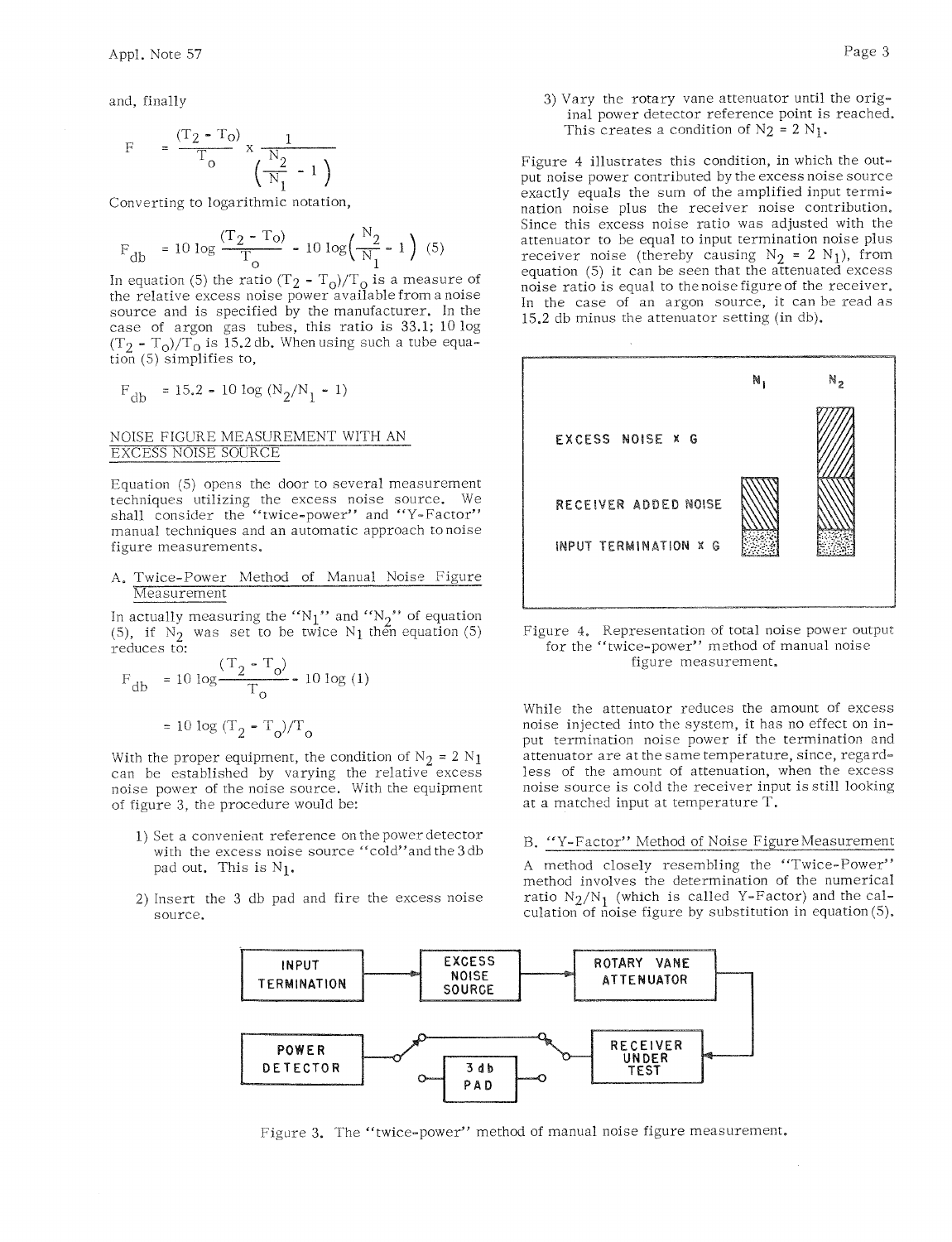and, finally

$$
F = \frac{(T_2 - T_0)}{T_0} \times \frac{1}{\left(\frac{N_2}{N_1} - 1\right)}
$$

Converting to logarithmic notation,

$$
F_{db} = 10 \log \frac{(T_2 - T_0)}{T_0} - 10 \log \left(\frac{N_2}{N_1} - 1\right) (5)
$$

In equation (5) the ratio  $(T_2 - T_0)/T_0$  is a measure of<br>the relative excess noise power available from a noise source and is specified by the manufacturer. In the case of argon gas tubes, this ratio is 33.1; 10 log  $(T_2 - T_0)/T_0$  is 15.2 db. When using such a tube equation (5) simplifies to,

$$
\mathrm{F_{db}}~=15.2\text{ - }10\text{ log (N_{2}/N_{1}-1)}
$$

## NOISE FIGURE MEASUREMENT WITH AN **EXCESS NOISE SOURCE**

Equation (5) opens the door to several measurement techniques utilizing the excess noise source. We shall consider the "twice-power" and "Y-Factor" manual techniques and an automatic approach to noise figure measurements.

Twice-Power Method of Manual Noise Figure A. Measurement

In actually measuring the " $N_1$ " and " $N_2$ " of equation (5), if  $N_2$  was set to be twice  $N_1$  then equation (5) reduces to:

$$
F_{db} = 10 \log \frac{(T_2 - T_0)}{T_0} - 10 \log (1)
$$

$$
= 10 \log (T_2 - T_0)/T_0
$$

With the proper equipment, the condition of  $N_2 = 2 N_1$ can be established by varying the relative excess noise power of the noise source. With the equipment of figure 3, the procedure would be:

- 1) Set a convenient reference on the power detector with the excess noise source "cold" and the 3 db pad out. This is N<sub>1</sub>.
- 2) Insert the 3 db pad and fire the excess noise source.

3) Vary the rotary vane attenuator until the original power detector reference point is reached. This creates a condition of  $N_2 = 2 N_1$ .

Figure 4 illustrates this condition, in which the output noise power contributed by the excess noise source exactly equals the sum of the amplified input termination noise plus the receiver noise contribution. Since this excess noise ratio was adjusted with the attenuator to be equal to input termination noise plus receiver noise (thereby causing  $N_2 = 2 N_1$ ), from equation (5) it can be seen that the attenuated excess noise ratio is equal to the noise figure of the receiver, In the case of an argon source, it can be read as 15.2 db minus the attenuator setting (in db).



Figure 4. Representation of total noise power output for the "twice-power" method of manual noise figure measurement,

While the attenuator reduces the amount of excess noise injected into the system, it has no effect on input termination noise power if the termination and attenuator are at the same temperature, since, regardless of the amount of attenuation, when the excess noise source is cold the receiver input is still looking at a matched input at temperature T.

#### B. "Y-Factor" Method of Noise Figure Measurement

A method closely resembling the "Twice-Power" method involves the determination of the numerical ratio  $N_2/N_1$  (which is called Y-Factor) and the calculation of noise figure by substitution in equation (5).



Figure 3. The "twice-power" method of manual noise figure measurement.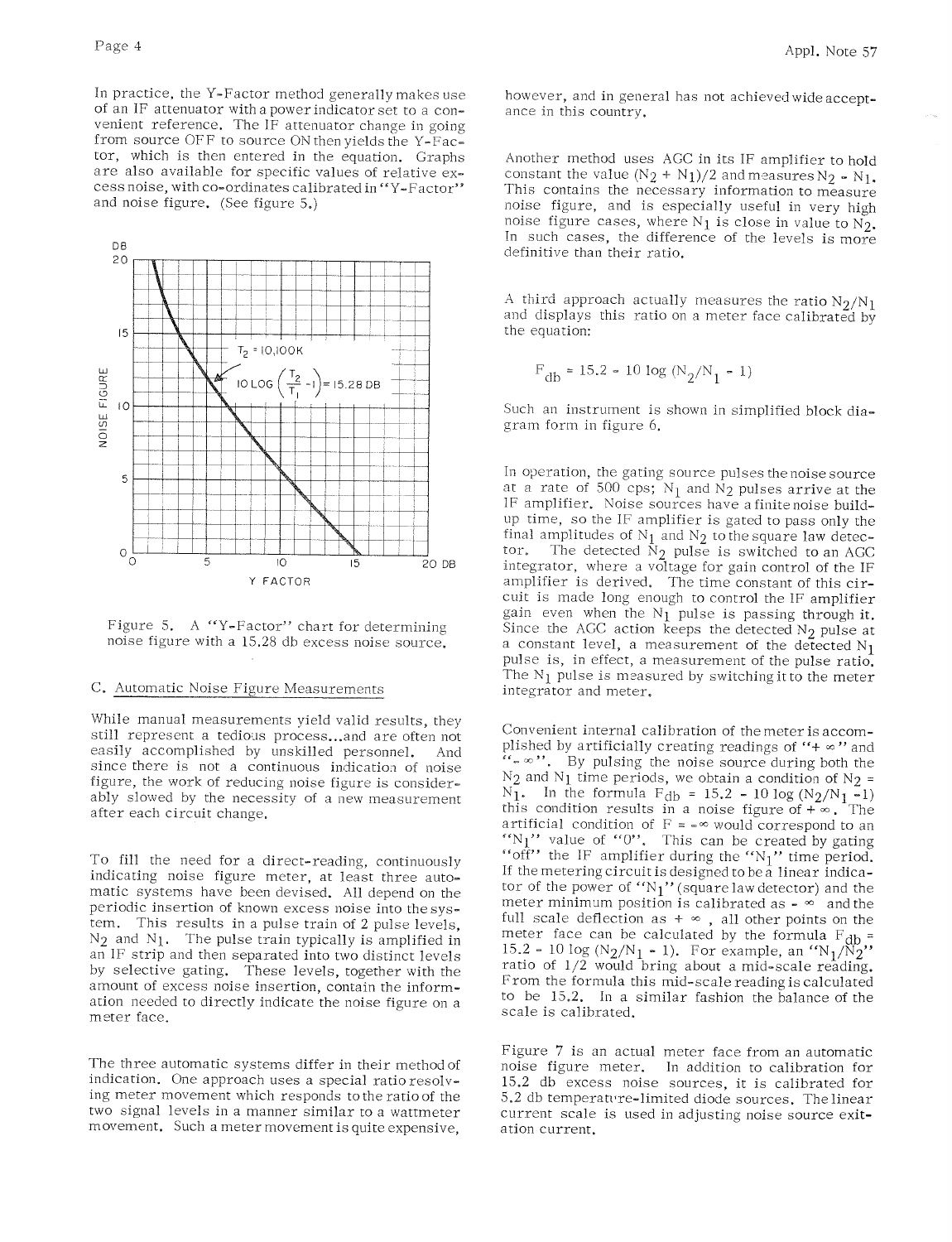In practice, the Y-Factor method generally makes use of an IF attenuator with a power indicator set to a convenient reference. The IF attenuator change in going from source OFF to source ON then yields the Y-Factor, which is then entered in the equation. Graphs are also available for specific values of relative excess noise, with co-ordinates calibrated in "Y-Factor" and noise figure. (See figure 5.)



Figure 5. A "Y-Factor" chart for determining noise figure with a 15.28 db excess noise source.

#### C. Automatic Noise Figure Measurements

While manual measurements yield valid results, they still represent a tedious process...and are often not easily accomplished by unskilled personnel. And since there is not a continuous indication of noise figure, the work of reducing noise figure is considerably slowed by the necessity of a new measurement after each circuit change.

To fill the need for a direct-reading, continuously indicating noise figure meter, at least three automatic systems have been devised. All depend on the periodic insertion of known excess noise into the system. This results in a pulse train of 2 pulse levels,  $N_2$  and  $N_1$ . The pulse train typically is amplified in an IF strip and then separated into two distinct levels by selective gating. These levels, together with the amount of excess noise insertion, contain the information needed to directly indicate the noise figure on a meter face.

The three automatic systems differ in their method of indication. One approach uses a special ratio resolving meter movement which responds to the ratio of the two signal levels in a manner similar to a wattmeter movement. Such a meter movement is quite expensive.

however, and in general has not achieved wide acceptance in this country.

Another method uses AGC in its IF amplifier to hold constant the value  $(N_2 + N_1)/2$  and measures  $N_2 - N_1$ . This contains the necessary information to measure noise figure, and is especially useful in very high noise figure cases, where  $N_1$  is close in value to  $N_2$ . In such cases, the difference of the levels is more definitive than their ratio.

A third approach actually measures the ratio  $N_2/N_1$ and displays this ratio on a meter face calibrated by the equation:

$$
F_{\rm db} = 15.2 - 10 \log (N_2/N_1 - 1)
$$

Such an instrument is shown in simplified block diagram form in figure 6.

In operation, the gating source pulses the noise source at a rate of 500 cps;  $N_1$  and  $N_2$  pulses arrive at the IF amplifier. Noise sources have a finite noise buildup time, so the IF amplifier is gated to pass only the final amplitudes of  $N_1$  and  $N_2$  to the square law detec-The detected  $\hat{N}_2$  pulse is switched to an AGC integrator, where a voltage for gain control of the IF amplifier is derived. The time constant of this circuit is made long enough to control the IF amplifier gain even when the  $N_1$  pulse is passing through it. Since the AGC action keeps the detected  $N_2$  pulse at a constant level, a measurement of the detected  $N_1$ pulse is, in effect, a measurement of the pulse ratio. The  $N_1$  pulse is measured by switching it to the meter integrator and meter.

Convenient internal calibration of the meter is accomplished by artificially creating readings of "+ $\infty$ " and " $\sim$  ". By pulsing the noise source during both the  $N_2$  and  $N_1$  time periods, we obtain a condition of  $N_2$  =  $N_1$ . In the formula  $F_{db} = 15.2 - 10 \log (N_2/N_1 - 1)$ <br>this condition results in a noise figure of  $+\infty$ . The artificial condition of  $F = -\infty$  would correspond to an "N<sub>1</sub>" value of "0". This can be created by gating "off" the IF amplifier during the "N<sub>1</sub>" time period. If the metering circuit is designed to be a linear indicator of the power of "N1" (square law detector) and the meter minimum position is calibrated as  $\sim \infty$  and the full scale deflection as  $+ \infty$ , all other points on the meter face can be calculated by the formula  $F_{db} =$ 15.2 - 10 log (N<sub>2</sub>/N<sub>1</sub> - 1). For example, an "N<sub>1</sub>/N<sub>2</sub>" ratio of 1/2 would bring about a mid-scale reading. From the formula this mid-scale reading is calculated to be 15.2. In a similar fashion the balance of the scale is calibrated.

Figure 7 is an actual meter face from an automatic noise figure meter. In addition to calibration for 15.2 db excess noise sources, it is calibrated for 5.2 db temperature-limited diode sources. The linear current scale is used in adjusting noise source exitation current.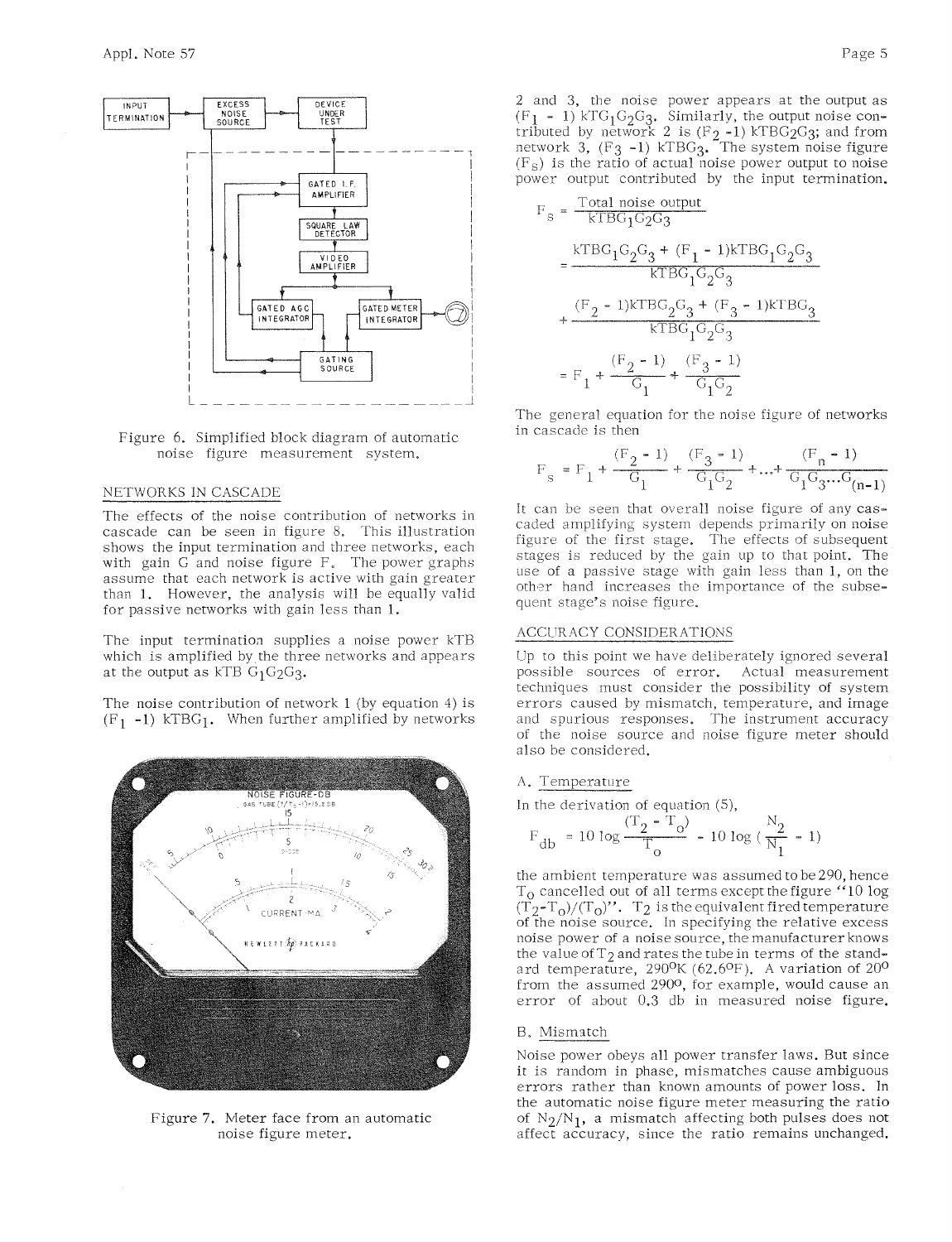



## NETWORKS IN CASCADE

The effects of the noise contribution of networks in cascade can be seen in figure 8. This illustration shows the input termination and three networks, each with gain G and noise figure F. The power graphs assume that each network is active with gain greater than 1. However, the analysis will be equally valid for passive networks with gain less than 1.

The input termination supplies a noise power kTB which is amplified by the three networks and appears at the output as kTB  $G_1G_2G_3$ .

The noise contribution of network  $1$  (by equation  $4$ ) is  $(F_1 - 1)$  kTBG<sub>1</sub>. When further amplified by networks



Figure 7. Meter face from an automatic noise figure meter.

2 and 3, the noise power appears at the output as  $(F_1 - 1)$  kTG<sub>1</sub>G<sub>2</sub>G<sub>3</sub>. Similarly, the output noise contributed by network 2 is  $(F_2 - 1)$  kTBG<sub>2</sub>G<sub>3</sub>; and from network 3,  $(F_3 - 1)$  kTBG<sub>3</sub>. The system noise figure  $(F<sub>S</sub>)$  is the ratio of actual noise power output to noise power output contributed by the input termination.

$$
F_{s} = \frac{\text{Total noise output}}{\text{KTBG}_{1}G_{2}G_{3}}
$$
\n
$$
= \frac{\text{KTBG}_{1}G_{2}G_{3} + (F_{1} - 1)\text{KTBG}_{1}G_{2}G_{3}}{\text{KTBG}_{1}G_{2}G_{3}}
$$
\n
$$
+ \frac{(F_{2} - 1)\text{KTBG}_{2}G_{3} + (F_{3} - 1)\text{KTBG}_{3}}{\text{KTBG}_{1}G_{2}G_{3}}
$$
\n
$$
= F_{1} + \frac{(F_{2} - 1)}{G_{1}} + \frac{(F_{3} - 1)}{G_{1}G_{2}}
$$

The general equation for the noise figure of networks in cascade is then

$$
\mathrm{F}_{\mathrm{s}} = \mathrm{F}_{1} + \frac{(\mathrm{F}_{2} - 1)}{\mathrm{G}_{1}} + \frac{(\mathrm{F}_{3} - 1)}{\mathrm{G}_{1}\mathrm{G}_{2}} + \dots + \frac{(\mathrm{F}_{\mathrm{n}} - 1)}{\mathrm{G}_{1}\mathrm{G}_{3}...\mathrm{G}_{\mathrm{(n-1)}}}
$$

It can be seen that overall noise figure of any cascaded amplifying system depends primarily on noise figure of the first stage. The effects of subsequent stages is reduced by the gain up to that point. The use of a passive stage with gain less than 1, on the other hand increases the importance of the subsequent stage's noise figure.

#### ACCURACY CONSIDERATIONS

Up to this point we have deliberately ignored several possible sources of error. Actual measurement techniques must consider the possibility of system errors caused by mismatch, temperature, and image and spurious responses. The instrument accuracy of the noise source and noise figure meter should also be considered.

#### A. Temperature

In the derivation of equation  $(5)$ ,

$$
F_{\rm db} = 10 \log \frac{(T_2 - T_o)}{T_o} - 10 \log (\frac{N_2}{N_1} - 1)
$$

the ambient temperature was assumed to be 290, hence T<sub>o</sub> cancelled out of all terms except the figure "10 log  $(T_2-T_0)/(T_0)$ ". T<sub>2</sub> is the equivalent fired temperature of the noise source. In specifying the relative excess noise power of a noise source, the manufacturer knows the value of  $T_2$  and rates the tube in terms of the standard temperature, 290<sup>o</sup>K (62.6<sup>o</sup>F). A variation of 20<sup>o</sup> from the assumed 2900, for example, would cause an error of about 0.3 db in measured noise figure.

#### B. Mismatch

Noise power obeys all power transfer laws. But since it is random in phase, mismatches cause ambiguous errors rather than known amounts of power loss. In the automatic noise figure meter measuring the ratio of  $N_2/N_1$ , a mismatch affecting both pulses does not affect accuracy, since the ratio remains unchanged.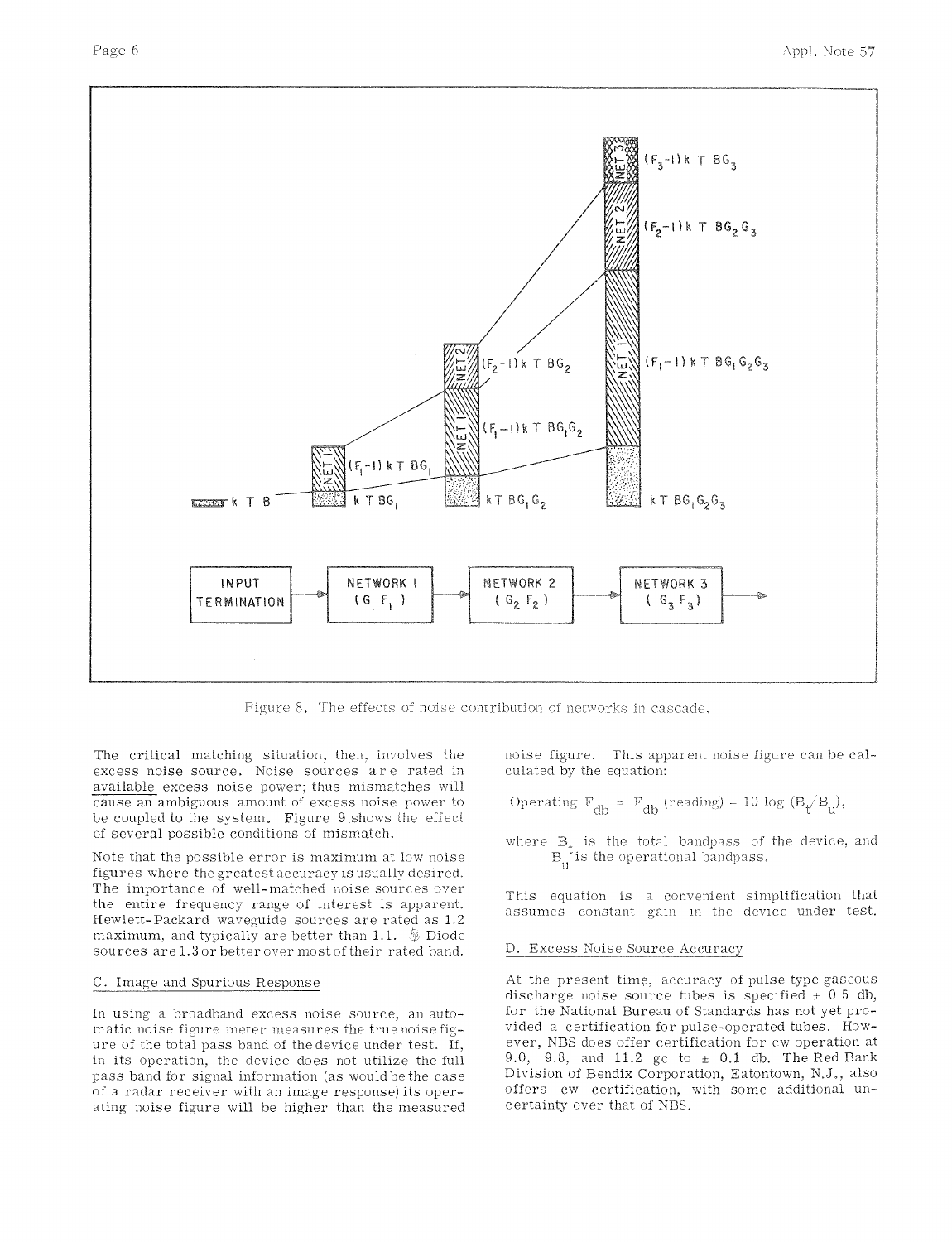

Figure 8. The effects of noise contribution of networks in cascade,

The critical matching situation, then, involves the excess noise source. Noise sources are rated in available excess noise power; thus mismatches will cause an ambiguous amount of excess noise power to be coupled to the system. Figure 9 shows the effect of several possible conditions of mismatch.

Note that the possible error is maximum at low noise figures where the greatest accuracy is usually desired. The importance of well-matched noise sources over the entire frequency range of interest is apparent. Hewlett-Packard waveguide sources are rated as 1.2 maximum, and typically are better than 1.1.  $\&$  Diode sources are 1.3 or better over most of their rated band.

### C. Image and Spurious Response

In using a broadband excess noise source, an automatic noise figure meter measures the true noise figure of the total pass band of the device under test. If, in its operation, the device does not utilize the full pass band for signal information (as would be the case of a radar receiver with an image response) its operating noise figure will be higher than the measured noise figure. This apparent noise figure can be calculated by the equation:

Operating 
$$
F_{db} = F_{db}
$$
 (reading) + 10 log  $(B_t/B_u)$ ,

where  $B_t$  is the total bandpass of the device, and  $B_t$  is the operational bandpass.

This equation is a convenient simplification that assumes constant gain in the device under test.

#### D. Excess Noise Source Accuracy

At the present time, accuracy of pulse type gaseous discharge noise source tubes is specified  $\pm$  0.5 db, for the National Bureau of Standards has not yet provided a certification for pulse-operated tubes. However, NBS does offer certification for cw operation at 9.0, 9.8, and 11.2 gc to  $\pm$  0.1 db. The Red Bank Division of Bendix Corporation, Eatontown, N.J., also offers cw certification, with some additional uncertainty over that of NBS.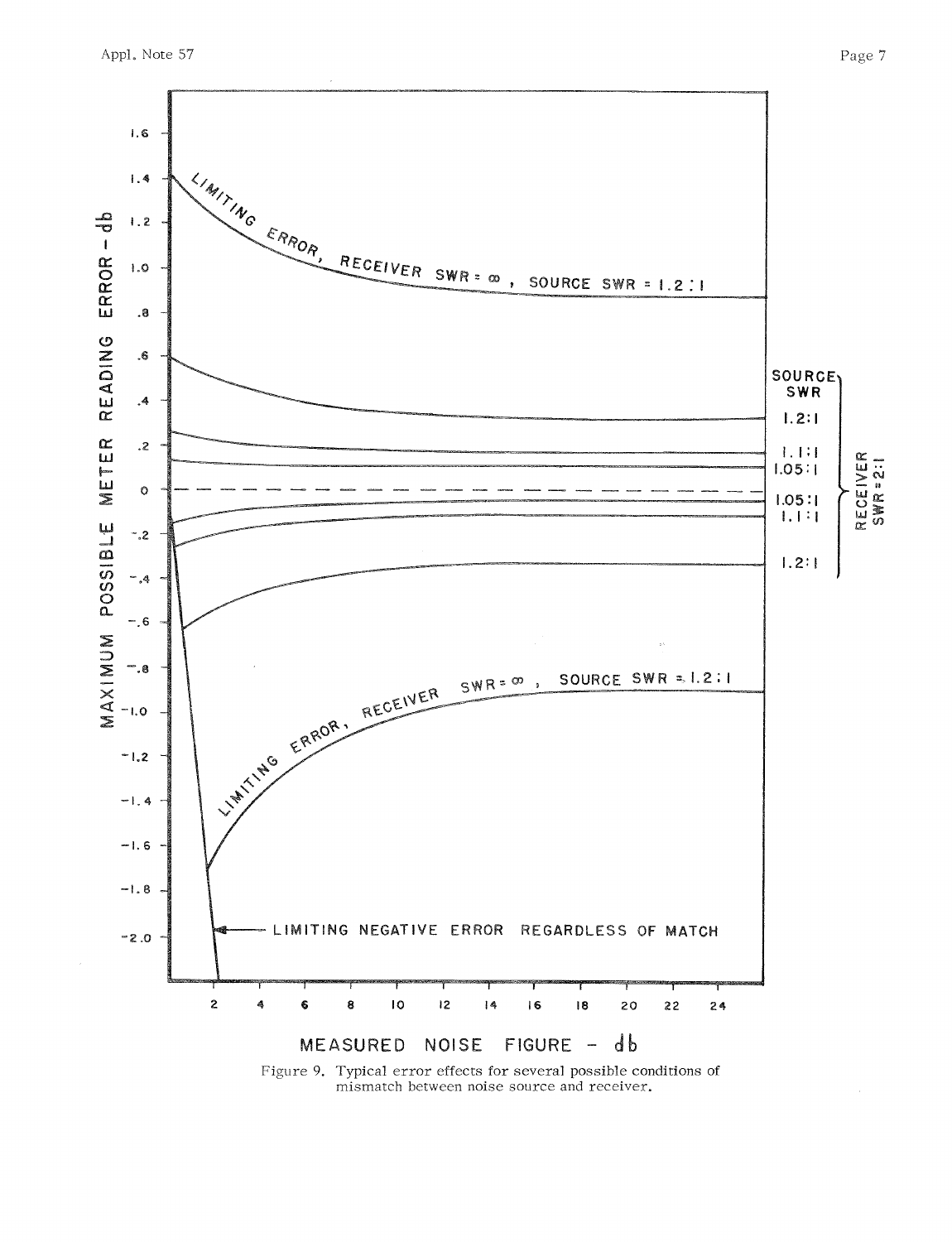